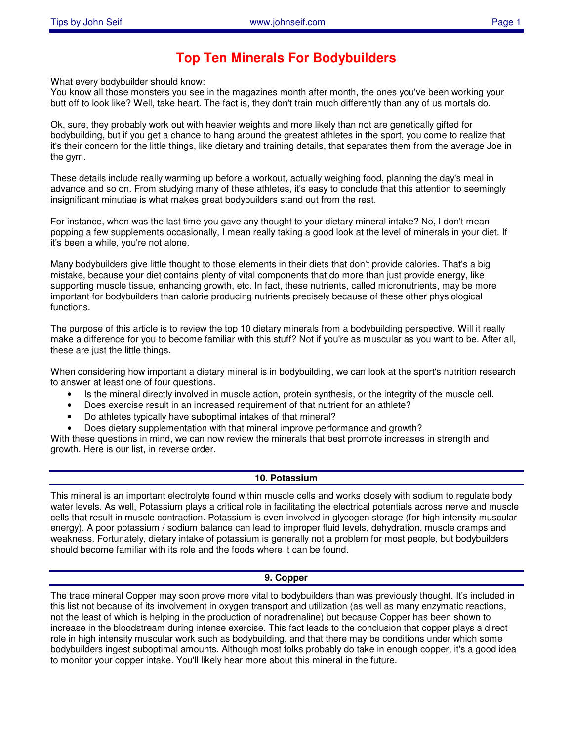# **Top Ten Minerals For Bodybuilders**

What every bodybuilder should know:

You know all those monsters you see in the magazines month after month, the ones you've been working your butt off to look like? Well, take heart. The fact is, they don't train much differently than any of us mortals do.

Ok, sure, they probably work out with heavier weights and more likely than not are genetically gifted for bodybuilding, but if you get a chance to hang around the greatest athletes in the sport, you come to realize that it's their concern for the little things, like dietary and training details, that separates them from the average Joe in the gym.

These details include really warming up before a workout, actually weighing food, planning the day's meal in advance and so on. From studying many of these athletes, it's easy to conclude that this attention to seemingly insignificant minutiae is what makes great bodybuilders stand out from the rest.

For instance, when was the last time you gave any thought to your dietary mineral intake? No, I don't mean popping a few supplements occasionally, I mean really taking a good look at the level of minerals in your diet. If it's been a while, you're not alone.

Many bodybuilders give little thought to those elements in their diets that don't provide calories. That's a big mistake, because your diet contains plenty of vital components that do more than just provide energy, like supporting muscle tissue, enhancing growth, etc. In fact, these nutrients, called micronutrients, may be more important for bodybuilders than calorie producing nutrients precisely because of these other physiological functions.

The purpose of this article is to review the top 10 dietary minerals from a bodybuilding perspective. Will it really make a difference for you to become familiar with this stuff? Not if you're as muscular as you want to be. After all, these are just the little things.

When considering how important a dietary mineral is in bodybuilding, we can look at the sport's nutrition research to answer at least one of four questions.

- Is the mineral directly involved in muscle action, protein synthesis, or the integrity of the muscle cell.
- Does exercise result in an increased requirement of that nutrient for an athlete?
- Do athletes typically have suboptimal intakes of that mineral?
- Does dietary supplementation with that mineral improve performance and growth?

With these questions in mind, we can now review the minerals that best promote increases in strength and growth. Here is our list, in reverse order.

# **10. Potassium**

This mineral is an important electrolyte found within muscle cells and works closely with sodium to regulate body water levels. As well, Potassium plays a critical role in facilitating the electrical potentials across nerve and muscle cells that result in muscle contraction. Potassium is even involved in glycogen storage (for high intensity muscular energy). A poor potassium / sodium balance can lead to improper fluid levels, dehydration, muscle cramps and weakness. Fortunately, dietary intake of potassium is generally not a problem for most people, but bodybuilders should become familiar with its role and the foods where it can be found.

#### **9. Copper**

The trace mineral Copper may soon prove more vital to bodybuilders than was previously thought. It's included in this list not because of its involvement in oxygen transport and utilization (as well as many enzymatic reactions, not the least of which is helping in the production of noradrenaline) but because Copper has been shown to increase in the bloodstream during intense exercise. This fact leads to the conclusion that copper plays a direct role in high intensity muscular work such as bodybuilding, and that there may be conditions under which some bodybuilders ingest suboptimal amounts. Although most folks probably do take in enough copper, it's a good idea to monitor your copper intake. You'll likely hear more about this mineral in the future.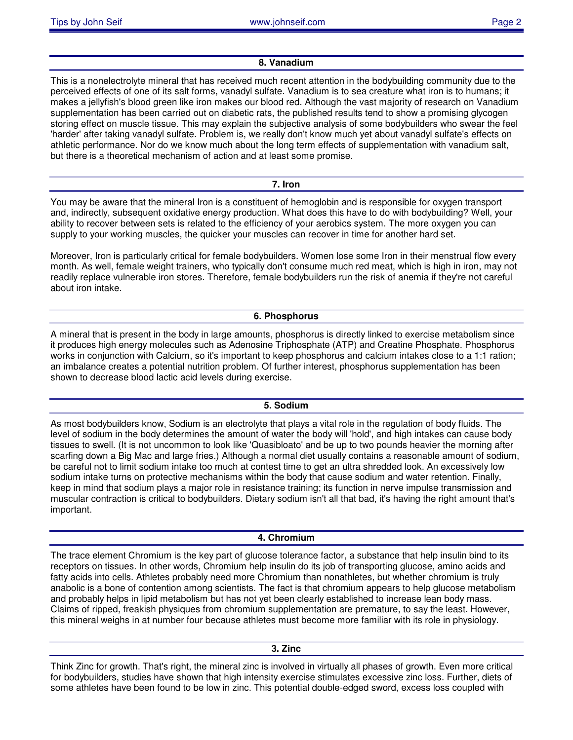# **8. Vanadium**

This is a nonelectrolyte mineral that has received much recent attention in the bodybuilding community due to the perceived effects of one of its salt forms, vanadyl sulfate. Vanadium is to sea creature what iron is to humans; it makes a jellyfish's blood green like iron makes our blood red. Although the vast majority of research on Vanadium supplementation has been carried out on diabetic rats, the published results tend to show a promising glycogen storing effect on muscle tissue. This may explain the subjective analysis of some bodybuilders who swear the feel 'harder' after taking vanadyl sulfate. Problem is, we really don't know much yet about vanadyl sulfate's effects on athletic performance. Nor do we know much about the long term effects of supplementation with vanadium salt, but there is a theoretical mechanism of action and at least some promise.

**7. Iron**

You may be aware that the mineral Iron is a constituent of hemoglobin and is responsible for oxygen transport and, indirectly, subsequent oxidative energy production. What does this have to do with bodybuilding? Well, your ability to recover between sets is related to the efficiency of your aerobics system. The more oxygen you can supply to your working muscles, the quicker your muscles can recover in time for another hard set.

Moreover, Iron is particularly critical for female bodybuilders. Women lose some Iron in their menstrual flow every month. As well, female weight trainers, who typically don't consume much red meat, which is high in iron, may not readily replace vulnerable iron stores. Therefore, female bodybuilders run the risk of anemia if they're not careful about iron intake.

# **6. Phosphorus**

A mineral that is present in the body in large amounts, phosphorus is directly linked to exercise metabolism since it produces high energy molecules such as Adenosine Triphosphate (ATP) and Creatine Phosphate. Phosphorus works in conjunction with Calcium, so it's important to keep phosphorus and calcium intakes close to a 1:1 ration; an imbalance creates a potential nutrition problem. Of further interest, phosphorus supplementation has been shown to decrease blood lactic acid levels during exercise.

# **5. Sodium**

As most bodybuilders know, Sodium is an electrolyte that plays a vital role in the regulation of body fluids. The level of sodium in the body determines the amount of water the body will 'hold', and high intakes can cause body tissues to swell. (It is not uncommon to look like 'Quasibloato' and be up to two pounds heavier the morning after scarfing down a Big Mac and large fries.) Although a normal diet usually contains a reasonable amount of sodium, be careful not to limit sodium intake too much at contest time to get an ultra shredded look. An excessively low sodium intake turns on protective mechanisms within the body that cause sodium and water retention. Finally, keep in mind that sodium plays a major role in resistance training; its function in nerve impulse transmission and muscular contraction is critical to bodybuilders. Dietary sodium isn't all that bad, it's having the right amount that's important.

#### **4. Chromium**

The trace element Chromium is the key part of glucose tolerance factor, a substance that help insulin bind to its receptors on tissues. In other words, Chromium help insulin do its job of transporting glucose, amino acids and fatty acids into cells. Athletes probably need more Chromium than nonathletes, but whether chromium is truly anabolic is a bone of contention among scientists. The fact is that chromium appears to help glucose metabolism and probably helps in lipid metabolism but has not yet been clearly established to increase lean body mass. Claims of ripped, freakish physiques from chromium supplementation are premature, to say the least. However, this mineral weighs in at number four because athletes must become more familiar with its role in physiology.

**3. Zinc**

Think Zinc for growth. That's right, the mineral zinc is involved in virtually all phases of growth. Even more critical for bodybuilders, studies have shown that high intensity exercise stimulates excessive zinc loss. Further, diets of some athletes have been found to be low in zinc. This potential double-edged sword, excess loss coupled with